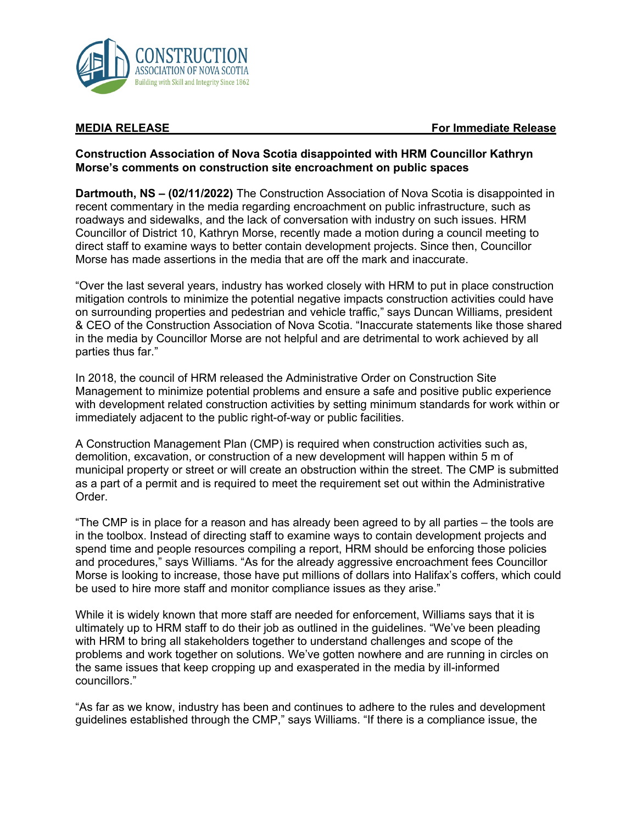

**MEDIA RELEASE For Immediate Release**

## **Construction Association of Nova Scotia disappointed with HRM Councillor Kathryn Morse's comments on construction site encroachment on public spaces**

**Dartmouth, NS – (02/11/2022)** The Construction Association of Nova Scotia is disappointed in recent commentary in the media regarding encroachment on public infrastructure, such as roadways and sidewalks, and the lack of conversation with industry on such issues. HRM Councillor of District 10, Kathryn Morse, recently made a motion during a council meeting to direct staff to examine ways to better contain development projects. Since then, Councillor Morse has made assertions in the media that are off the mark and inaccurate.

"Over the last several years, industry has worked closely with HRM to put in place construction mitigation controls to minimize the potential negative impacts construction activities could have on surrounding properties and pedestrian and vehicle traffic," says Duncan Williams, president & CEO of the Construction Association of Nova Scotia. "Inaccurate statements like those shared in the media by Councillor Morse are not helpful and are detrimental to work achieved by all parties thus far."

In 2018, the council of HRM released the Administrative Order on Construction Site Management to minimize potential problems and ensure a safe and positive public experience with development related construction activities by setting minimum standards for work within or immediately adjacent to the public right-of-way or public facilities.

A Construction Management Plan (CMP) is required when construction activities such as, demolition, excavation, or construction of a new development will happen within 5 m of municipal property or street or will create an obstruction within the street. The CMP is submitted as a part of a permit and is required to meet the requirement set out within the Administrative Order.

"The CMP is in place for a reason and has already been agreed to by all parties – the tools are in the toolbox. Instead of directing staff to examine ways to contain development projects and spend time and people resources compiling a report, HRM should be enforcing those policies and procedures," says Williams. "As for the already aggressive encroachment fees Councillor Morse is looking to increase, those have put millions of dollars into Halifax's coffers, which could be used to hire more staff and monitor compliance issues as they arise."

While it is widely known that more staff are needed for enforcement, Williams says that it is ultimately up to HRM staff to do their job as outlined in the guidelines. "We've been pleading with HRM to bring all stakeholders together to understand challenges and scope of the problems and work together on solutions. We've gotten nowhere and are running in circles on the same issues that keep cropping up and exasperated in the media by ill-informed councillors."

"As far as we know, industry has been and continues to adhere to the rules and development guidelines established through the CMP," says Williams. "If there is a compliance issue, the